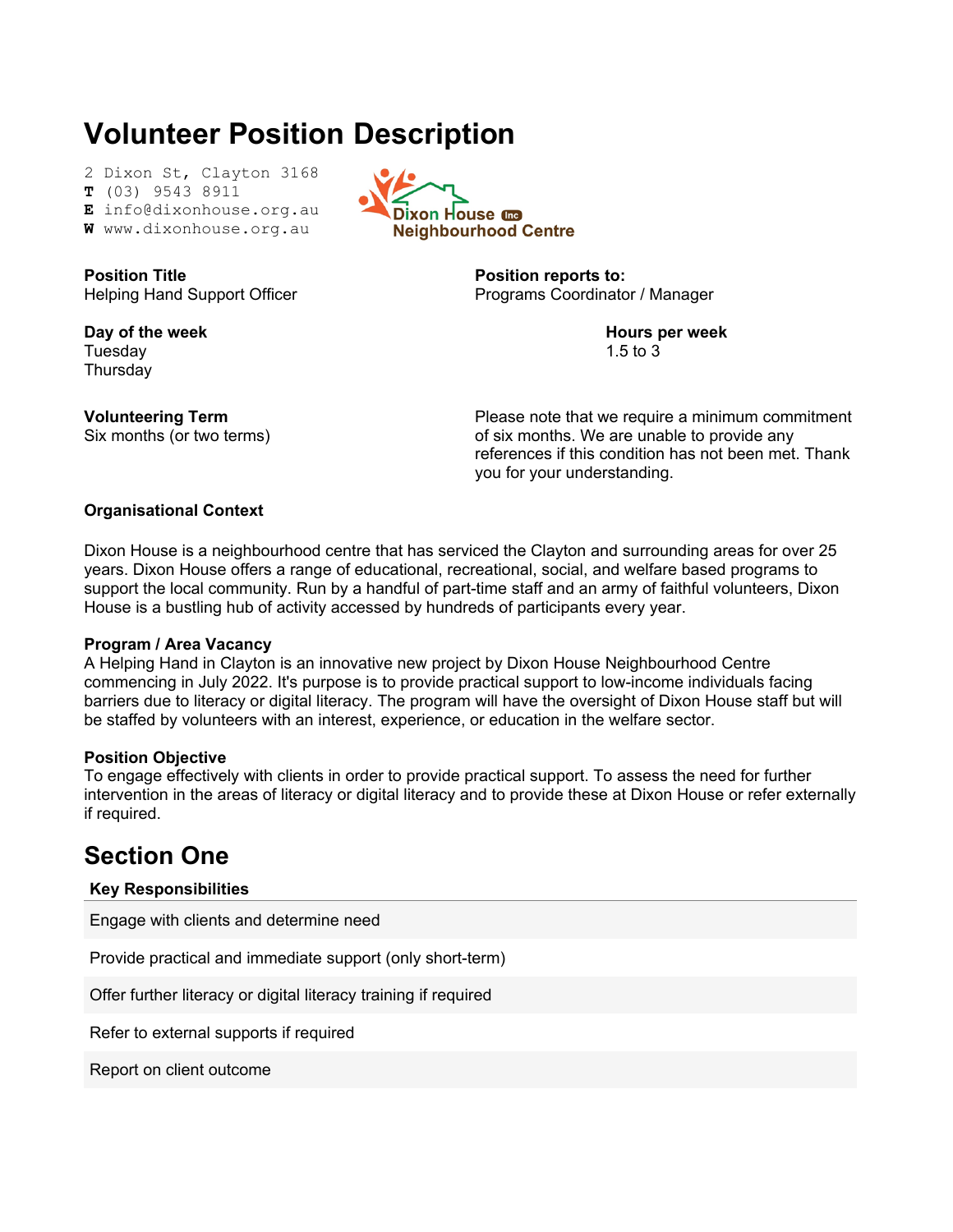# **Volunteer Position Description**

2 Dixon St, Clayton 3168 **T** (03) 9543 8911

**E** info@dixonhouse.org.au

**W** www.dixonhouse.org.au

**Position Title** Helping Hand Support Officer

**Day of the week** Tuesday **Thursdav** 

**Volunteering Term** Six months (or two terms)



**Position reports to:** Programs Coordinator / Manager

> **Hours per week** 1.5 to 3

Please note that we require a minimum commitment of six months. We are unable to provide any references if this condition has not been met. Thank you for your understanding.

### **Organisational Context**

Dixon House is a neighbourhood centre that has serviced the Clayton and surrounding areas for over 25 years. Dixon House offers a range of educational, recreational, social, and welfare based programs to support the local community. Run by a handful of part-time staff and an army of faithful volunteers, Dixon House is a bustling hub of activity accessed by hundreds of participants every year.

### **Program / Area Vacancy**

A Helping Hand in Clayton is an innovative new project by Dixon House Neighbourhood Centre commencing in July 2022. It's purpose is to provide practical support to low-income individuals facing barriers due to literacy or digital literacy. The program will have the oversight of Dixon House staff but will be staffed by volunteers with an interest, experience, or education in the welfare sector.

### **Position Objective**

To engage effectively with clients in order to provide practical support. To assess the need for further intervention in the areas of literacy or digital literacy and to provide these at Dixon House or refer externally if required.

### **Section One**

### **Key Responsibilities**

Engage with clients and determine need

Provide practical and immediate support (only short-term)

Offer further literacy or digital literacy training if required

Refer to external supports if required

Report on client outcome